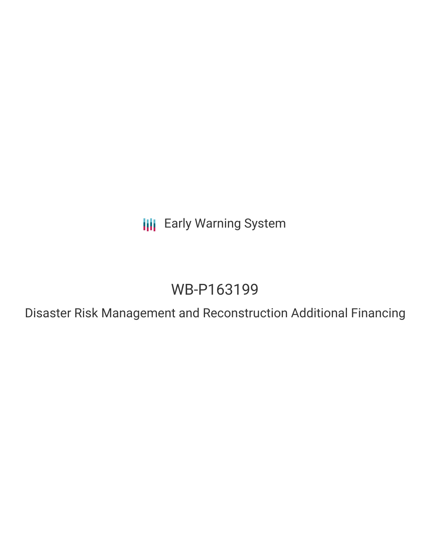**III** Early Warning System

# WB-P163199

Disaster Risk Management and Reconstruction Additional Financing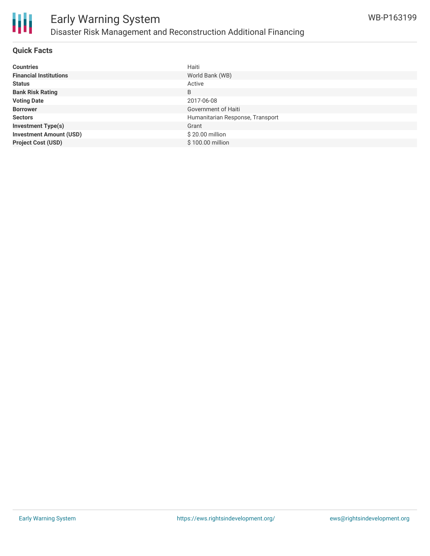

### **Quick Facts**

| <b>Countries</b>               | Haiti                            |
|--------------------------------|----------------------------------|
| <b>Financial Institutions</b>  | World Bank (WB)                  |
| <b>Status</b>                  | Active                           |
| <b>Bank Risk Rating</b>        | B                                |
| <b>Voting Date</b>             | 2017-06-08                       |
| <b>Borrower</b>                | Government of Haiti              |
| <b>Sectors</b>                 | Humanitarian Response, Transport |
| <b>Investment Type(s)</b>      | Grant                            |
| <b>Investment Amount (USD)</b> | \$20.00 million                  |
| <b>Project Cost (USD)</b>      | $$100.00$ million                |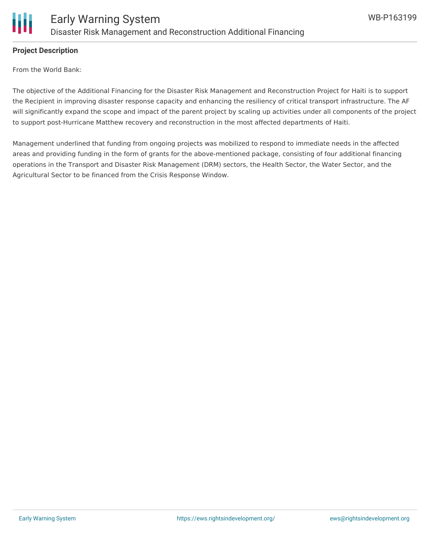

# **Project Description**

From the World Bank:

The objective of the Additional Financing for the Disaster Risk Management and Reconstruction Project for Haiti is to support the Recipient in improving disaster response capacity and enhancing the resiliency of critical transport infrastructure. The AF will significantly expand the scope and impact of the parent project by scaling up activities under all components of the project to support post-Hurricane Matthew recovery and reconstruction in the most affected departments of Haiti.

Management underlined that funding from ongoing projects was mobilized to respond to immediate needs in the affected areas and providing funding in the form of grants for the above-mentioned package, consisting of four additional financing operations in the Transport and Disaster Risk Management (DRM) sectors, the Health Sector, the Water Sector, and the Agricultural Sector to be financed from the Crisis Response Window.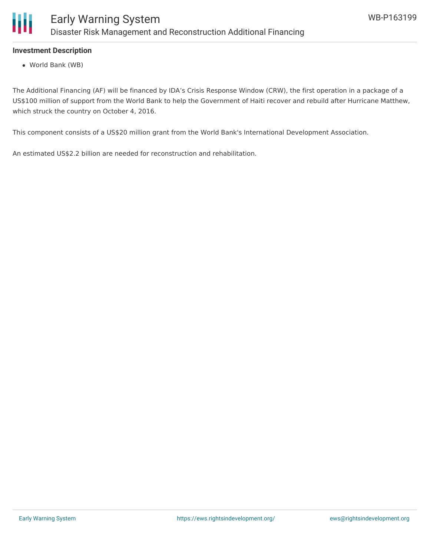

# **Investment Description**

World Bank (WB)

The Additional Financing (AF) will be financed by IDA's Crisis Response Window (CRW), the first operation in a package of a US\$100 million of support from the World Bank to help the Government of Haiti recover and rebuild after Hurricane Matthew, which struck the country on October 4, 2016.

This component consists of a US\$20 million grant from the World Bank's International Development Association.

An estimated US\$2.2 billion are needed for reconstruction and rehabilitation.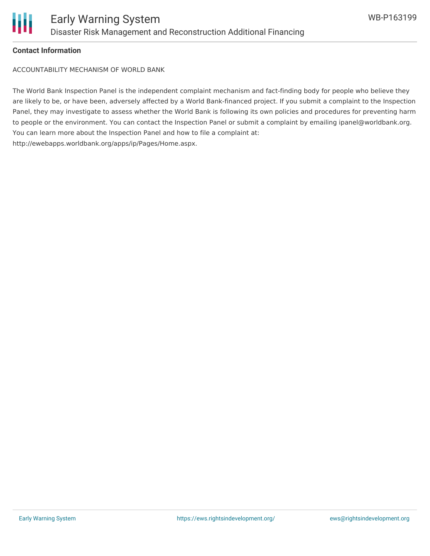

#### **Contact Information**

ACCOUNTABILITY MECHANISM OF WORLD BANK

The World Bank Inspection Panel is the independent complaint mechanism and fact-finding body for people who believe they are likely to be, or have been, adversely affected by a World Bank-financed project. If you submit a complaint to the Inspection Panel, they may investigate to assess whether the World Bank is following its own policies and procedures for preventing harm to people or the environment. You can contact the Inspection Panel or submit a complaint by emailing ipanel@worldbank.org. You can learn more about the Inspection Panel and how to file a complaint at: http://ewebapps.worldbank.org/apps/ip/Pages/Home.aspx.